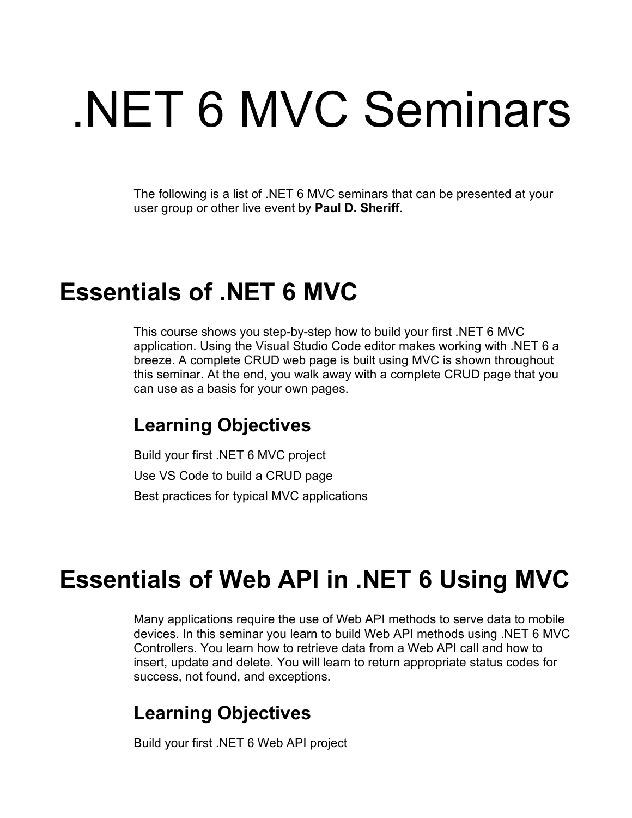# .NET 6 MVC Seminars

The following is a list of .NET 6 MVC seminars that can be presented at your user group or other live event by **Paul D. Sheriff**.

## **Essentials of .NET 6 MVC**

This course shows you step-by-step how to build your first .NET 6 MVC application. Using the Visual Studio Code editor makes working with .NET 6 a breeze. A complete CRUD web page is built using MVC is shown throughout this seminar. At the end, you walk away with a complete CRUD page that you can use as a basis for your own pages.

#### **Learning Objectives**

Build your first .NET 6 MVC project Use VS Code to build a CRUD page Best practices for typical MVC applications

## **Essentials of Web API in .NET 6 Using MVC**

Many applications require the use of Web API methods to serve data to mobile devices. In this seminar you learn to build Web API methods using .NET 6 MVC Controllers. You learn how to retrieve data from a Web API call and how to insert, update and delete. You will learn to return appropriate status codes for success, not found, and exceptions.

#### **Learning Objectives**

Build your first .NET 6 Web API project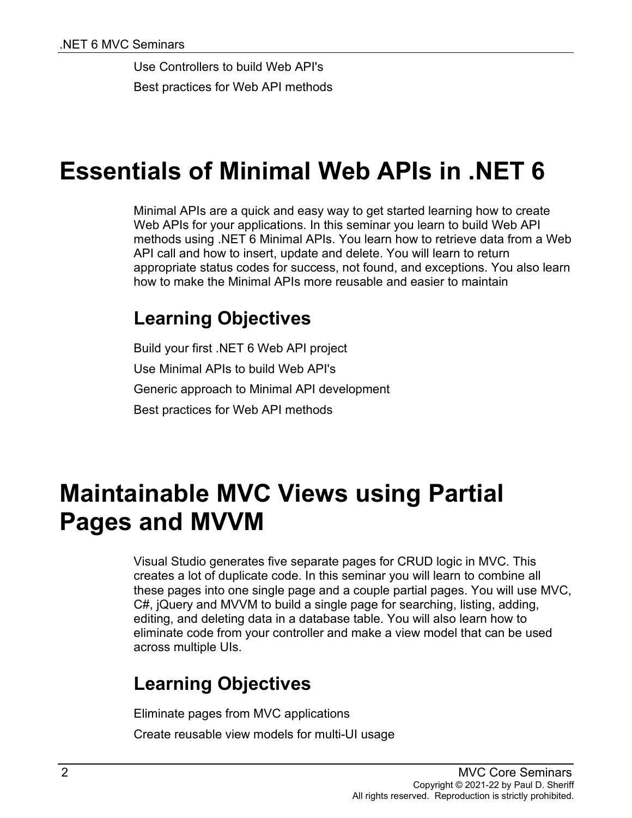Use Controllers to build Web API's Best practices for Web API methods

## **Essentials of Minimal Web APIs in .NET 6**

Minimal APIs are a quick and easy way to get started learning how to create Web APIs for your applications. In this seminar you learn to build Web API methods using .NET 6 Minimal APIs. You learn how to retrieve data from a Web API call and how to insert, update and delete. You will learn to return appropriate status codes for success, not found, and exceptions. You also learn how to make the Minimal APIs more reusable and easier to maintain

#### **Learning Objectives**

Build your first .NET 6 Web API project Use Minimal APIs to build Web API's Generic approach to Minimal API development Best practices for Web API methods

## **Maintainable MVC Views using Partial Pages and MVVM**

Visual Studio generates five separate pages for CRUD logic in MVC. This creates a lot of duplicate code. In this seminar you will learn to combine all these pages into one single page and a couple partial pages. You will use MVC, C#, jQuery and MVVM to build a single page for searching, listing, adding, editing, and deleting data in a database table. You will also learn how to eliminate code from your controller and make a view model that can be used across multiple UIs.

### **Learning Objectives**

Eliminate pages from MVC applications Create reusable view models for multi-UI usage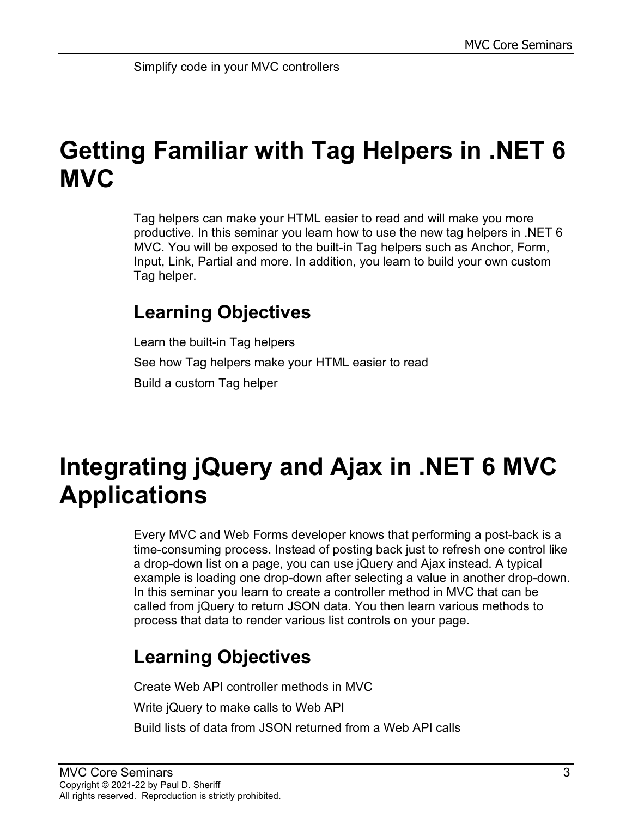# **Getting Familiar with Tag Helpers in .NET 6 MVC**

Tag helpers can make your HTML easier to read and will make you more productive. In this seminar you learn how to use the new tag helpers in .NET 6 MVC. You will be exposed to the built-in Tag helpers such as Anchor, Form, Input, Link, Partial and more. In addition, you learn to build your own custom Tag helper.

#### **Learning Objectives**

Learn the built-in Tag helpers See how Tag helpers make your HTML easier to read Build a custom Tag helper

## **Integrating jQuery and Ajax in .NET 6 MVC Applications**

Every MVC and Web Forms developer knows that performing a post-back is a time-consuming process. Instead of posting back just to refresh one control like a drop-down list on a page, you can use jQuery and Ajax instead. A typical example is loading one drop-down after selecting a value in another drop-down. In this seminar you learn to create a controller method in MVC that can be called from jQuery to return JSON data. You then learn various methods to process that data to render various list controls on your page.

### **Learning Objectives**

Create Web API controller methods in MVC Write jQuery to make calls to Web API Build lists of data from JSON returned from a Web API calls